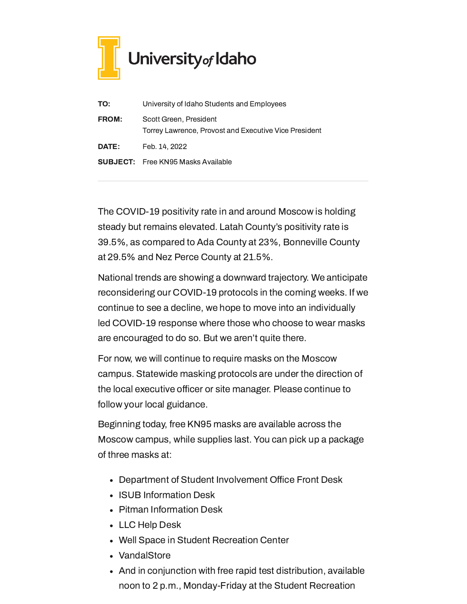

| TO:          | University of Idaho Students and Employees                                      |
|--------------|---------------------------------------------------------------------------------|
| <b>FROM:</b> | Scott Green, President<br>Torrey Lawrence, Provost and Executive Vice President |
| <b>DATE:</b> | Feb. 14, 2022                                                                   |
|              | <b>SUBJECT:</b> Free KN95 Masks Available                                       |

The COVID-19 positivity rate in and around Moscow is holding steady but remains elevated. Latah County's positivity rate is 39.5%, as compared to Ada County at 23%, Bonneville County at 29.5% and Nez Perce County at 21.5%.

National trends are showing a downward trajectory. We anticipate reconsidering our COVID-19 protocols in the coming weeks. If we continue to see a decline, we hope to move into an individually led COVID-19 response where those who choose to wear masks are encouraged to do so. But we aren't quite there.

For now, we will continue to require masks on the Moscow campus. Statewide masking protocols are under the direction of the local executive officer or site manager. Please continue to follow your local guidance.

Beginning today, free KN95 masks are available across the Moscow campus, while supplies last. You can pick up a package of three masks at:

- Department of Student Involvement Office Front Desk
- ISUB Information Desk
- Pitman Information Desk
- LLC Help Desk
- Well Space in Student Recreation Center
- VandalStore
- And in conjunction with free rapid test distribution, available noon to 2 p.m., Monday-Friday at the Student Recreation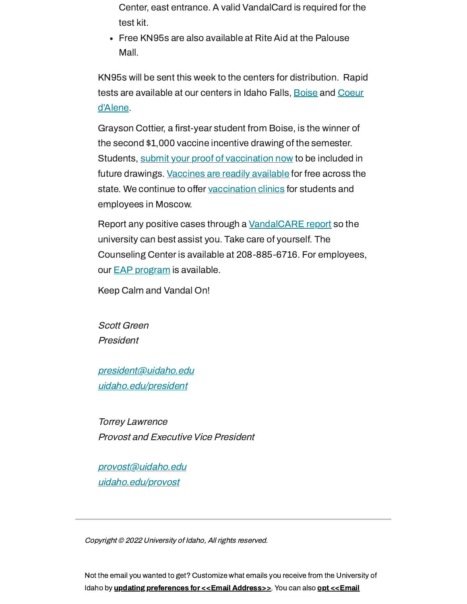Center, east entrance. A valid VandalCard is required for the test kit.

Free KN95s are also available at Rite Aid at the Palouse Mall.

KN95s will be sent this week to the centers for distribution. Rapid tests are [available](https://www.uidaho.edu/cda/students/resources) at our centers in Idaho Falls, [Boise](https://www.uidaho.edu/boise/covid-19) and Coeur d'Alene.

Grayson Cottier, a first-year student from Boise, is the winner of the second \$1,000 vaccine incentive drawing of the semester. Students, submit your proof of [vaccination](https://uidaho.co1.qualtrics.com/jfe/form/SV_6gICn0bvv2PZPNA) now to be included in future drawings. [Vaccines](https://www.vaccines.gov/search/) are readily available for free across the state. We continue to offer [vaccination](https://www.uidaho.edu/vandal-health-clinic/coronavirus/vaccine/pre-register) clinics for students and employees in Moscow.

Report any positive cases through a [VandalCARE](https://www.uidaho.edu/student-affairs/dean-of-students/vandalcare) report so the university can best assist you. Take care of yourself. The Counseling Center is available at 208-885-6716. For employees, our **EAP** [program](https://www.uidaho.edu/human-resources/benefits/core-benefits/eap) is available.

Keep Calm and Vandal On!

Scott Green President

[president@uidaho.edu](mailto:president@uidaho.edu) [uidaho.edu/president](https://www.uidaho.edu/president)

Torrey Lawrence Provost and Executive Vice President

[provost@uidaho.edu](mailto:provost@uidaho.edu) [uidaho.edu/provost](http://www.uidaho.edu/provost)

Copyright © 2022 University of Idaho, All rights reserved.

Not the email you wanted to get? Customize what emails you receive from the University of Idaho by **updating [preferences](https://uidaho.us6.list-manage.com/profile?u=e8b26a2bfdf3335ca7d0c9eef&id=4153a2eec5&e=[UNIQID]&c=f617d3a1ac) for <<Email Address>>**. You can also **opt <<Email**